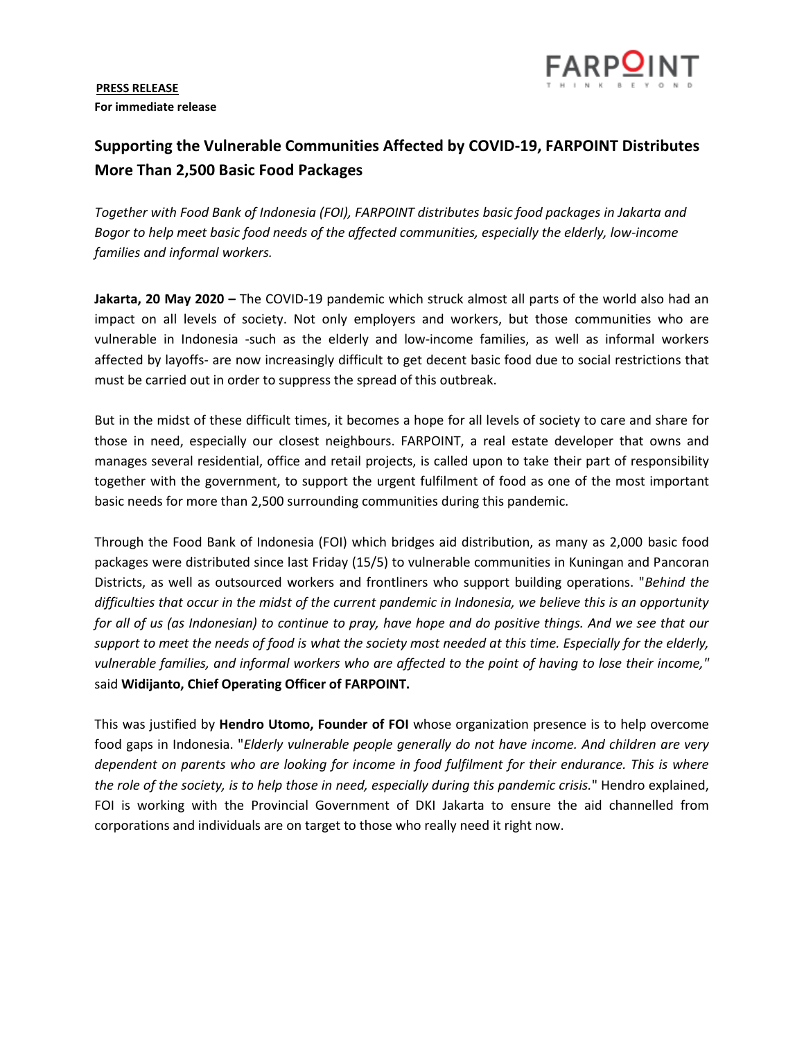# **PRESS RELEASE For immediate release**



# **Supporting the Vulnerable Communities Affected by COVID-19, FARPOINT Distributes More Than 2,500 Basic Food Packages**

*Together with Food Bank of Indonesia (FOI), FARPOINT distributes basic food packages in Jakarta and Bogor to help meet basic food needs of the affected communities, especially the elderly, low-income families and informal workers.*

**Jakarta, 20 May 2020 –** The COVID-19 pandemic which struck almost all parts of the world also had an impact on all levels of society. Not only employers and workers, but those communities who are vulnerable in Indonesia -such as the elderly and low-income families, as well as informal workers affected by layoffs- are now increasingly difficult to get decent basic food due to social restrictions that must be carried out in order to suppress the spread of this outbreak.

But in the midst of these difficult times, it becomes a hope for all levels of society to care and share for those in need, especially our closest neighbours. FARPOINT, a real estate developer that owns and manages several residential, office and retail projects, is called upon to take their part of responsibility together with the government, to support the urgent fulfilment of food as one of the most important basic needs for more than 2,500 surrounding communities during this pandemic.

Through the Food Bank of Indonesia (FOI) which bridges aid distribution, as many as 2,000 basic food packages were distributed since last Friday (15/5) to vulnerable communities in Kuningan and Pancoran Districts, as well as outsourced workers and frontliners who support building operations. "*Behind the difficulties that occur in the midst of the current pandemic in Indonesia, we believe this is an opportunity for all of us (as Indonesian) to continue to pray, have hope and do positive things. And we see that our support to meet the needs of food is what the society most needed at this time. Especially for the elderly, vulnerable families, and informal workers who are affected to the point of having to lose their income,"* said **Widijanto, Chief Operating Officer of FARPOINT.**

This was justified by **Hendro Utomo, Founder of FOI** whose organization presence is to help overcome food gaps in Indonesia. "*Elderly vulnerable people generally do not have income. And children are very dependent on parents who are looking for income in food fulfilment for their endurance. This is where the role of the society, is to help those in need, especially during this pandemic crisis.*" Hendro explained, FOI is working with the Provincial Government of DKI Jakarta to ensure the aid channelled from corporations and individuals are on target to those who really need it right now.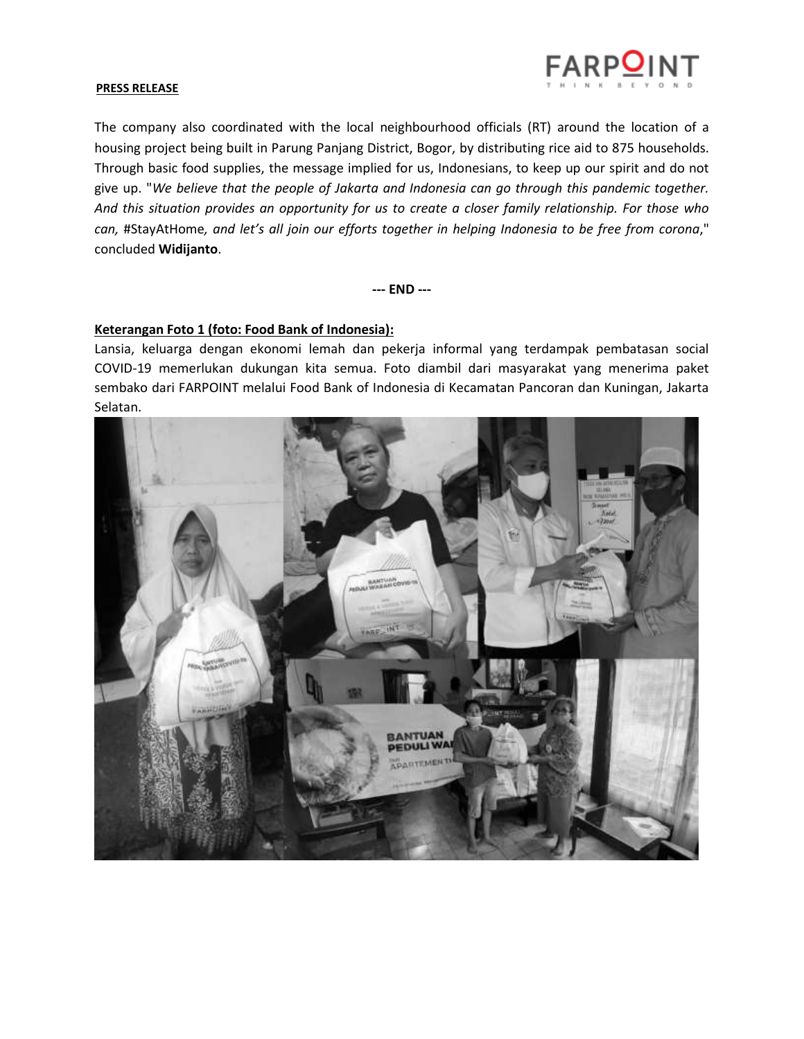

#### **PRESS RELEASE**

The company also coordinated with the local neighbourhood officials (RT) around the location of a housing project being built in Parung Panjang District, Bogor, by distributing rice aid to 875 households. Through basic food supplies, the message implied for us, Indonesians, to keep up our spirit and do not give up. "*We believe that the people of Jakarta and Indonesia can go through this pandemic together. And this situation provides an opportunity for us to create a closer family relationship. For those who can,* #StayAtHome*, and let's all join our efforts together in helping Indonesia to be free from corona*," concluded **Widijanto**.

**--- END ---**

# **Keterangan Foto 1 (foto: Food Bank of Indonesia):**

Lansia, keluarga dengan ekonomi lemah dan pekerja informal yang terdampak pembatasan social COVID-19 memerlukan dukungan kita semua. Foto diambil dari masyarakat yang menerima paket sembako dari FARPOINT melalui Food Bank of Indonesia di Kecamatan Pancoran dan Kuningan, Jakarta Selatan.